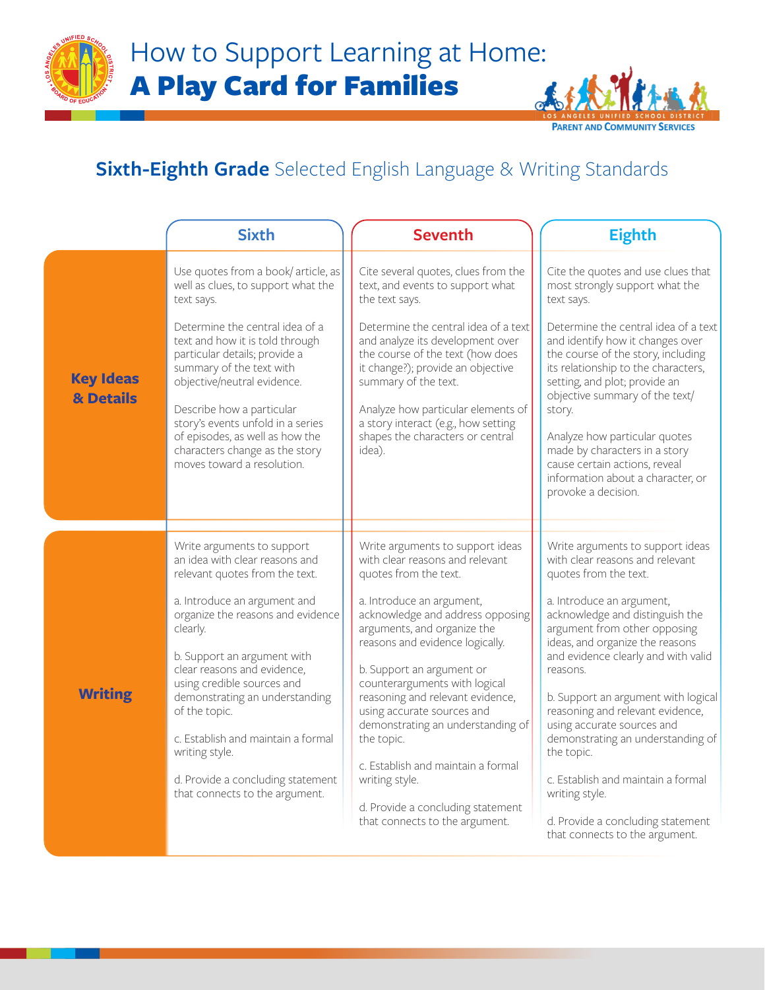How to Support Learning at Home: A Play Card for Families



Ast

**PARENT AND COMMUNIT** 

|                               | <b>Sixth</b>                                                                                                                                                                                                                                                                                                                                                                                                                                                  | <b>Seventh</b>                                                                                                                                                                                                                                                                                                                                                                                                                                                                                                                                    | <b>Eighth</b>                                                                                                                                                                                                                                                                                                                                                                                                                                                                                                                                                                 |
|-------------------------------|---------------------------------------------------------------------------------------------------------------------------------------------------------------------------------------------------------------------------------------------------------------------------------------------------------------------------------------------------------------------------------------------------------------------------------------------------------------|---------------------------------------------------------------------------------------------------------------------------------------------------------------------------------------------------------------------------------------------------------------------------------------------------------------------------------------------------------------------------------------------------------------------------------------------------------------------------------------------------------------------------------------------------|-------------------------------------------------------------------------------------------------------------------------------------------------------------------------------------------------------------------------------------------------------------------------------------------------------------------------------------------------------------------------------------------------------------------------------------------------------------------------------------------------------------------------------------------------------------------------------|
| <b>Key Ideas</b><br>& Details | Use quotes from a book/article, as<br>well as clues, to support what the<br>text says.<br>Determine the central idea of a<br>text and how it is told through<br>particular details; provide a<br>summary of the text with<br>objective/neutral evidence.<br>Describe how a particular<br>story's events unfold in a series<br>of episodes, as well as how the<br>characters change as the story<br>moves toward a resolution.                                 | Cite several quotes, clues from the<br>text, and events to support what<br>the text says.<br>Determine the central idea of a text<br>and analyze its development over<br>the course of the text (how does<br>it change?); provide an objective<br>summary of the text.<br>Analyze how particular elements of<br>a story interact (e.g., how setting<br>shapes the characters or central<br>idea).                                                                                                                                                 | Cite the quotes and use clues that<br>most strongly support what the<br>text says.<br>Determine the central idea of a text<br>and identify how it changes over<br>the course of the story, including<br>its relationship to the characters,<br>setting, and plot; provide an<br>objective summary of the text/<br>story.<br>Analyze how particular quotes<br>made by characters in a story<br>cause certain actions, reveal<br>information about a character, or<br>provoke a decision.                                                                                       |
| <b>Writing</b>                | Write arguments to support<br>an idea with clear reasons and<br>relevant quotes from the text.<br>a. Introduce an argument and<br>organize the reasons and evidence<br>clearly.<br>b. Support an argument with<br>clear reasons and evidence,<br>using credible sources and<br>demonstrating an understanding<br>of the topic.<br>c. Establish and maintain a formal<br>writing style.<br>d. Provide a concluding statement<br>that connects to the argument. | Write arguments to support ideas<br>with clear reasons and relevant<br>quotes from the text.<br>a. Introduce an argument,<br>acknowledge and address opposing<br>arguments, and organize the<br>reasons and evidence logically.<br>b. Support an argument or<br>counterarguments with logical<br>reasoning and relevant evidence,<br>using accurate sources and<br>demonstrating an understanding of<br>the topic.<br>c. Establish and maintain a formal<br>writing style.<br>d. Provide a concluding statement<br>that connects to the argument. | Write arguments to support ideas<br>with clear reasons and relevant<br>quotes from the text.<br>a. Introduce an argument,<br>acknowledge and distinguish the<br>argument from other opposing<br>ideas, and organize the reasons<br>and evidence clearly and with valid<br>reasons.<br>b. Support an argument with logical<br>reasoning and relevant evidence,<br>using accurate sources and<br>demonstrating an understanding of<br>the topic.<br>c. Establish and maintain a formal<br>writing style.<br>d. Provide a concluding statement<br>that connects to the argument. |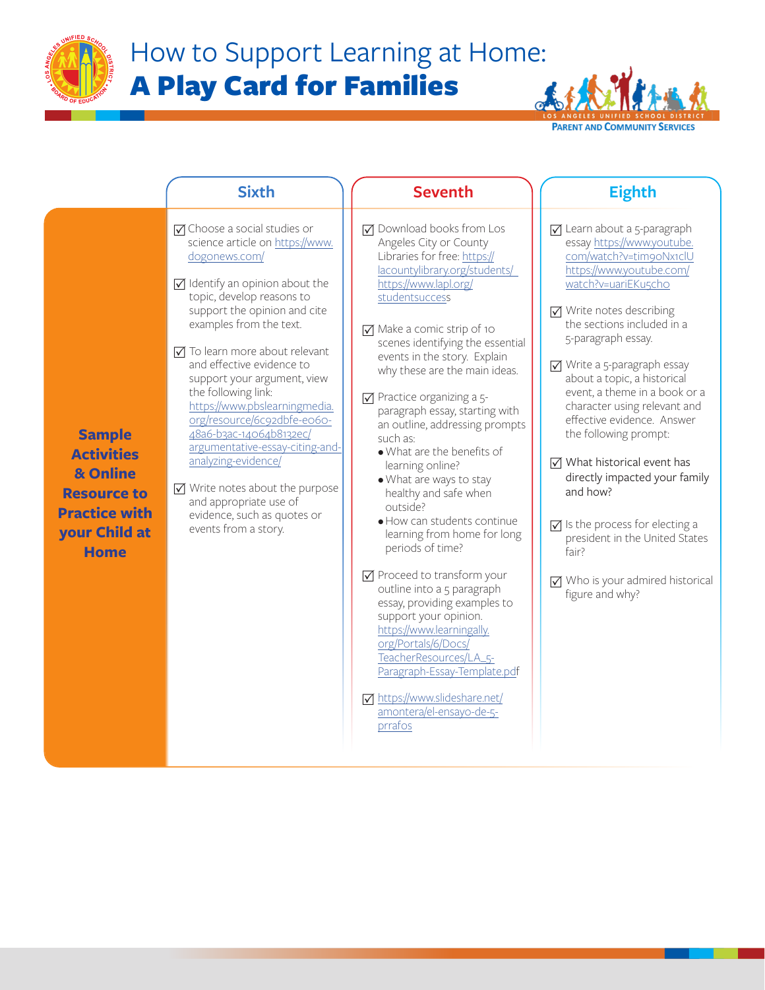

## How to Support Learning at Home: A Play Card for Families



| <b>⊽</b> Download books from Los<br>$\triangledown$ Choose a social studies or<br>$\nabla$ Learn about a 5-paragraph<br>essay https://www.youtube.<br>science article on https://www.<br>Angeles City or County<br>Libraries for free: https://<br>com/watch?v=tim9oNx1clU<br>dogonews.com/<br>lacountylibrary.org/students/<br>https://www.youtube.com/<br>$\triangledown$ Identify an opinion about the<br>https://www.lapl.org/<br>watch?v=uariEKu5cho<br>topic, develop reasons to<br>studentsuccess<br>support the opinion and cite<br>$\nabla$ Write notes describing<br>the sections included in a<br>examples from the text.<br>$\nabla$ Make a comic strip of 10<br>5-paragraph essay.<br>scenes identifying the essential<br>$\nabla$ To learn more about relevant<br>events in the story. Explain<br>and effective evidence to<br>$\sqrt{ }$ Write a 5-paragraph essay<br>why these are the main ideas.<br>about a topic, a historical<br>support your argument, view<br>the following link:<br>event, a theme in a book or a<br>$\sqrt{ }$ Practice organizing a 5-<br>https://www.pbslearningmedia.<br>character using relevant and<br>paragraph essay, starting with<br>org/resource/6c92dbfe-e060-<br>effective evidence. Answer<br>an outline, addressing prompts<br>48a6-b3ac-14064b8132ec/<br>the following prompt:<br><b>Sample</b><br>such as:<br>argumentative-essay-citing-and-<br>. What are the benefits of<br><b>Activities</b><br>analyzing-evidence/<br>$\nabla$ What historical event has<br>learning online?<br>& Online<br>· What are ways to stay<br>$\nabla$ Write notes about the purpose<br>and how?<br><b>Resource to</b><br>healthy and safe when<br>and appropriate use of<br>outside?<br><b>Practice with</b><br>evidence, such as quotes or<br>· How can students continue<br>$\sqrt{\phantom{a}}$ Is the process for electing a<br>events from a story.<br>your Child at<br>learning from home for long<br>periods of time?<br><b>Home</b><br>fair?<br>$\nabla$ Proceed to transform your<br>outline into a 5 paragraph<br>figure and why?<br>essay, providing examples to<br>support your opinion.<br>https://www.learningally.<br>org/Portals/6/Docs/<br>TeacherResources/LA_5- | <b>Sixth</b> | <b>Seventh</b>               | <b>Eighth</b>                                                                                              |
|---------------------------------------------------------------------------------------------------------------------------------------------------------------------------------------------------------------------------------------------------------------------------------------------------------------------------------------------------------------------------------------------------------------------------------------------------------------------------------------------------------------------------------------------------------------------------------------------------------------------------------------------------------------------------------------------------------------------------------------------------------------------------------------------------------------------------------------------------------------------------------------------------------------------------------------------------------------------------------------------------------------------------------------------------------------------------------------------------------------------------------------------------------------------------------------------------------------------------------------------------------------------------------------------------------------------------------------------------------------------------------------------------------------------------------------------------------------------------------------------------------------------------------------------------------------------------------------------------------------------------------------------------------------------------------------------------------------------------------------------------------------------------------------------------------------------------------------------------------------------------------------------------------------------------------------------------------------------------------------------------------------------------------------------------------------------------------------------------------------------------------------------------------------------------------------------------------------------------|--------------|------------------------------|------------------------------------------------------------------------------------------------------------|
| M https://www.slideshare.net/<br>amontera/el-ensayo-de-5-<br>prrafos                                                                                                                                                                                                                                                                                                                                                                                                                                                                                                                                                                                                                                                                                                                                                                                                                                                                                                                                                                                                                                                                                                                                                                                                                                                                                                                                                                                                                                                                                                                                                                                                                                                                                                                                                                                                                                                                                                                                                                                                                                                                                                                                                      |              | Paragraph-Essay-Template.pdf | directly impacted your family<br>president in the United States<br>$\nabla$ Who is your admired historical |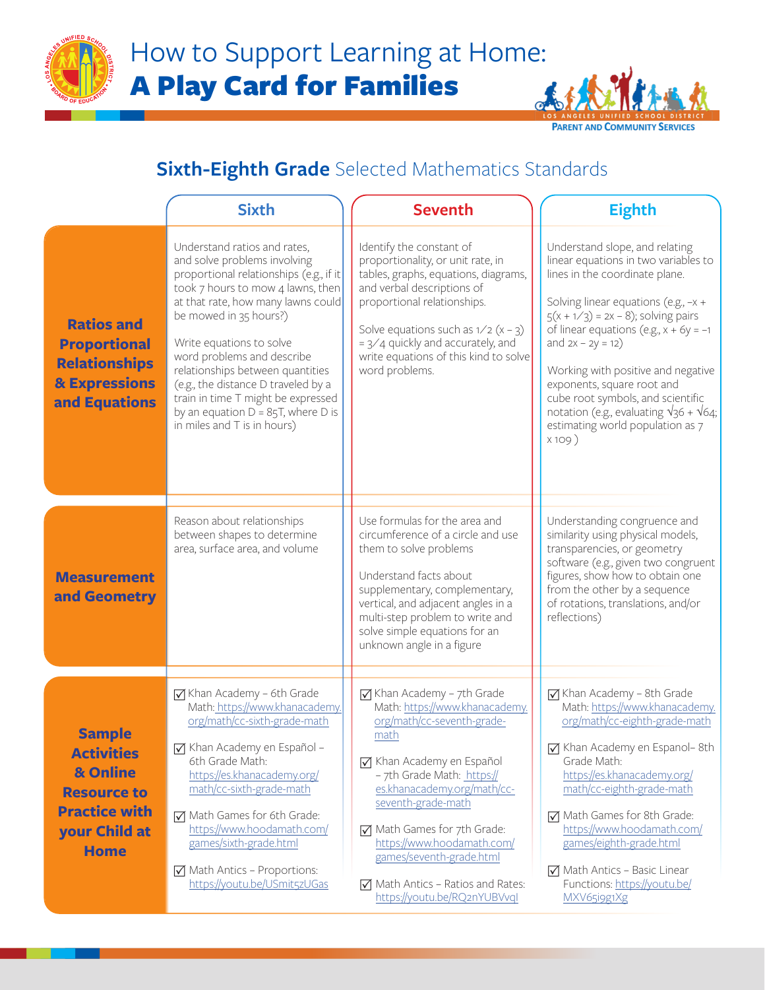



## **Sixth-Eighth Grade** Selected Mathematics Standards

|                                                                                                                              | <b>Sixth</b>                                                                                                                                                                                                                                                                                                                                                                                                                                                    | <b>Seventh</b>                                                                                                                                                                                                                                                                                                                                                                               | <b>Eighth</b>                                                                                                                                                                                                                                                                                                                                                                                                                                                               |  |  |
|------------------------------------------------------------------------------------------------------------------------------|-----------------------------------------------------------------------------------------------------------------------------------------------------------------------------------------------------------------------------------------------------------------------------------------------------------------------------------------------------------------------------------------------------------------------------------------------------------------|----------------------------------------------------------------------------------------------------------------------------------------------------------------------------------------------------------------------------------------------------------------------------------------------------------------------------------------------------------------------------------------------|-----------------------------------------------------------------------------------------------------------------------------------------------------------------------------------------------------------------------------------------------------------------------------------------------------------------------------------------------------------------------------------------------------------------------------------------------------------------------------|--|--|
| <b>Ratios and</b><br><b>Proportional</b><br><b>Relationships</b><br><b>&amp; Expressions</b><br>and Equations                | Understand ratios and rates,<br>and solve problems involving<br>proportional relationships (e.g., if it<br>took 7 hours to mow 4 lawns, then<br>at that rate, how many lawns could<br>be mowed in 35 hours?)<br>Write equations to solve<br>word problems and describe<br>relationships between quantities<br>(e.g., the distance D traveled by a<br>train in time T might be expressed<br>by an equation $D = 85T$ , where D is<br>in miles and T is in hours) | Identify the constant of<br>proportionality, or unit rate, in<br>tables, graphs, equations, diagrams,<br>and verbal descriptions of<br>proportional relationships.<br>Solve equations such as $1/2$ (x - 3)<br>$= 3/4$ quickly and accurately, and<br>write equations of this kind to solve<br>word problems.                                                                                | Understand slope, and relating<br>linear equations in two variables to<br>lines in the coordinate plane.<br>Solving linear equations (e.g., $-x +$<br>$5(x + 1/3) = 2x - 8$ ; solving pairs<br>of linear equations (e.g., $x + 6y = -1$<br>and $2x - 2y = 12$<br>Working with positive and negative<br>exponents, square root and<br>cube root symbols, and scientific<br>notation (e.g., evaluating $\sqrt{36} + \sqrt{64}$ ;<br>estimating world population as 7<br>X109) |  |  |
| <b>Measurement</b><br>and Geometry                                                                                           | Reason about relationships<br>between shapes to determine<br>area, surface area, and volume                                                                                                                                                                                                                                                                                                                                                                     | Use formulas for the area and<br>circumference of a circle and use<br>them to solve problems<br>Understand facts about<br>supplementary, complementary,<br>vertical, and adjacent angles in a<br>multi-step problem to write and<br>solve simple equations for an<br>unknown angle in a figure                                                                                               | Understanding congruence and<br>similarity using physical models,<br>transparencies, or geometry<br>software (e.g., given two congruent<br>figures, show how to obtain one<br>from the other by a sequence<br>of rotations, translations, and/or<br>reflections)                                                                                                                                                                                                            |  |  |
| <b>Sample</b><br><b>Activities</b><br>& Online<br><b>Resource to</b><br><b>Practice with</b><br>your Child at<br><b>Home</b> | $\sqrt{ }$ Khan Academy - 6th Grade<br>Math: https://www.khanacademy.<br>org/math/cc-sixth-grade-math<br>Khan Academy en Español -<br>6th Grade Math:<br>https://es.khanacademy.org/<br>math/cc-sixth-grade-math<br>Math Games for 6th Grade:<br>https://www.hoodamath.com/<br>games/sixth-grade.html<br>$\nabla$ Math Antics - Proportions:<br>https://youtu.be/USmit5zUGas                                                                                    | ☑ Khan Academy - 7th Grade<br>Math: https://www.khanacademy.<br>org/math/cc-seventh-grade-<br>math<br>√ Khan Academy en Español<br>- 7th Grade Math: https://<br>es.khanacademy.org/math/cc-<br>seventh-grade-math<br>Math Games for 7th Grade:<br>https://www.hoodamath.com/<br>games/seventh-grade.html<br>$\triangledown$ Math Antics - Ratios and Rates:<br>https://youtu.be/RQ2nYUBVvql | $\sqrt{ }$ Khan Academy - 8th Grade<br>Math: https://www.khanacademy.<br>org/math/cc-eighth-grade-math<br>☑ Khan Academy en Espanol-8th<br>Grade Math:<br>https://es.khanacademy.org/<br>math/cc-eighth-grade-math<br>Math Games for 8th Grade:<br>https://www.hoodamath.com/<br>games/eighth-grade.html<br>$\nabla$ Math Antics - Basic Linear<br>Functions: https://youtu.be/<br>MXV65i9g1Xg                                                                              |  |  |